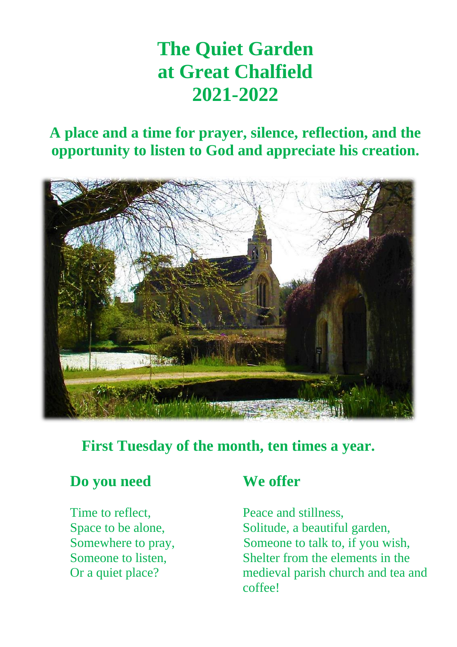# **The Quiet Garden at Great Chalfield 2021-2022**

# **A place and a time for prayer, silence, reflection, and the opportunity to listen to God and appreciate his creation.**



### **First Tuesday of the month, ten times a year.**

#### **Do you need We offer**

Time to reflect, Time to reflect, Peace and stillness, Space to be alone, Solitude, a beautiful garden, Somewhere to pray, Someone to talk to, if you wish, Someone to listen, Shelter from the elements in the Or a quiet place? medieval parish church and tea and coffee!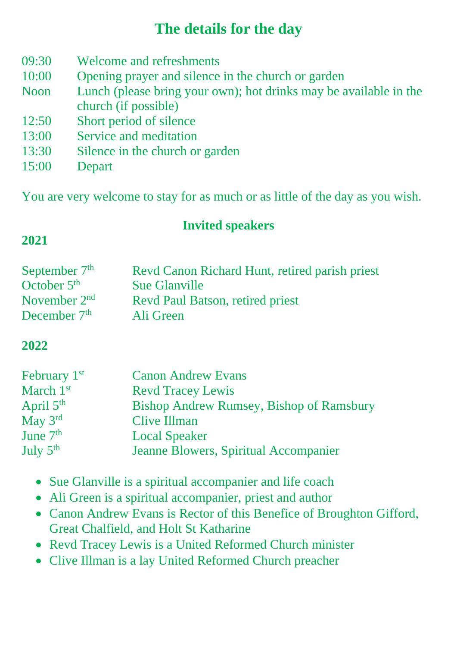## **The details for the day**

- 09:30 Welcome and refreshments
- 10:00 Opening prayer and silence in the church or garden
- Noon Lunch (please bring your own); hot drinks may be available in the church (if possible)
- 12:50 Short period of silence
- 13:00 Service and meditation
- 13:30 Silence in the church or garden
- 15:00 Depart

You are very welcome to stay for as much or as little of the day as you wish.

#### **Invited speakers**

#### **2021**

| September $7th$ | Revd Canon Richard Hunt, retired parish priest |
|-----------------|------------------------------------------------|
| October $5th$   | <b>Sue Glanville</b>                           |
| November $2nd$  | <b>Revd Paul Batson, retired priest</b>        |
| December $7th$  | Ali Green                                      |

#### **2022**

| February 1 <sup>st</sup> | <b>Canon Andrew Evans</b>                       |
|--------------------------|-------------------------------------------------|
| March 1st                | <b>Revd Tracey Lewis</b>                        |
| April $5th$              | <b>Bishop Andrew Rumsey, Bishop of Ramsbury</b> |
| May 3rd                  | Clive Illman                                    |
| June 7 <sup>th</sup>     | <b>Local Speaker</b>                            |
| July $5th$               | Jeanne Blowers, Spiritual Accompanier           |

- Sue Glanville is a spiritual accompanier and life coach
- Ali Green is a spiritual accompanier, priest and author
- Canon Andrew Evans is Rector of this Benefice of Broughton Gifford, Great Chalfield, and Holt St Katharine
- Revd Tracey Lewis is a United Reformed Church minister
- Clive Illman is a lay United Reformed Church preacher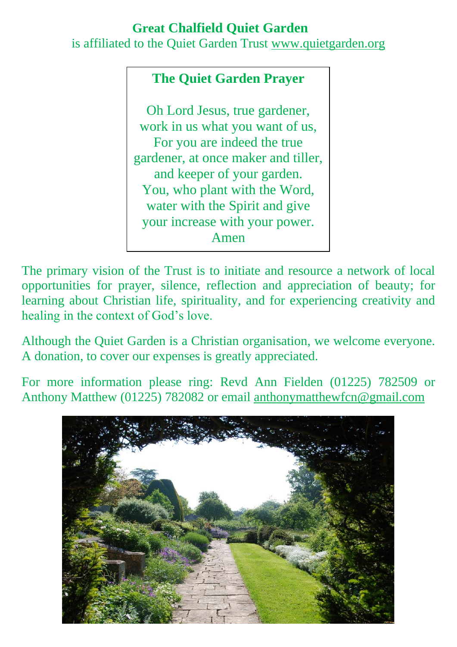#### **Great Chalfield Quiet Garden**

is affiliated to the Quiet Garden Trust [www.quietgarden.org](http://www.quietgarden.org/)

#### **The Quiet Garden Prayer**

Oh Lord Jesus, true gardener, work in us what you want of us, For you are indeed the true gardener, at once maker and tiller, and keeper of your garden. You, who plant with the Word, water with the Spirit and give your increase with your power. Amen

The primary vision of the Trust is to initiate and resource a network of local opportunities for prayer, silence, reflection and appreciation of beauty; for learning about Christian life, spirituality, and for experiencing creativity and healing in the context of God's love.

Although the Quiet Garden is a Christian organisation, we welcome everyone. A donation, to cover our expenses is greatly appreciated.

For more information please ring: Revd Ann Fielden (01225) 782509 or Anthony Matthew (01225) 782082 or email [anthonymatthewfcn@gmail.com](mailto:anthonymatthewfcn@gmail.com)